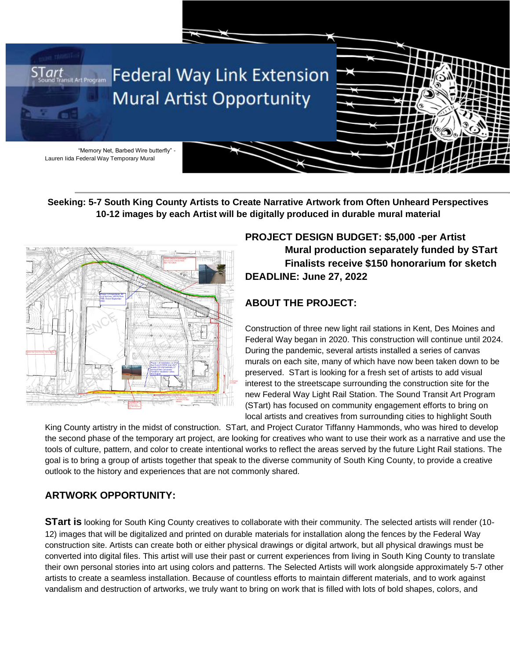

### **Seeking: 5-7 South King County Artists to Create Narrative Artwork from Often Unheard Perspectives 10-12 images by each Artist will be digitally produced in durable mural material**



# **PROJECT DESIGN BUDGET: \$5,000 -per Artist Mural production separately funded by STart Finalists receive \$150 honorarium for sketch DEADLINE: June 27, 2022**

## **ABOUT THE PROJECT:**

Construction of three new light rail stations in Kent, Des Moines and Federal Way began in 2020. This construction will continue until 2024. During the pandemic, several artists installed a series of canvas murals on each site, many of which have now been taken down to be preserved. STart is looking for a fresh set of artists to add visual interest to the streetscape surrounding the construction site for the new Federal Way Light Rail Station. The Sound Transit Art Program (STart) has focused on community engagement efforts to bring on local artists and creatives from surrounding cities to highlight South

King County artistry in the midst of construction. STart, and Project Curator Tiffanny Hammonds, who was hired to develop the second phase of the temporary art project, are looking for creatives who want to use their work as a narrative and use the tools of culture, pattern, and color to create intentional works to reflect the areas served by the future Light Rail stations. The goal is to bring a group of artists together that speak to the diverse community of South King County, to provide a creative outlook to the history and experiences that are not commonly shared.

## **ARTWORK OPPORTUNITY:**

**STart is** looking for South King County creatives to collaborate with their community. The selected artists will render (10- 12) images that will be digitalized and printed on durable materials for installation along the fences by the Federal Way construction site. Artists can create both or either physical drawings or digital artwork, but all physical drawings must be converted into digital files. This artist will use their past or current experiences from living in South King County to translate their own personal stories into art using colors and patterns. The Selected Artists will work alongside approximately 5-7 other artists to create a seamless installation. Because of countless efforts to maintain different materials, and to work against vandalism and destruction of artworks, we truly want to bring on work that is filled with lots of bold shapes, colors, and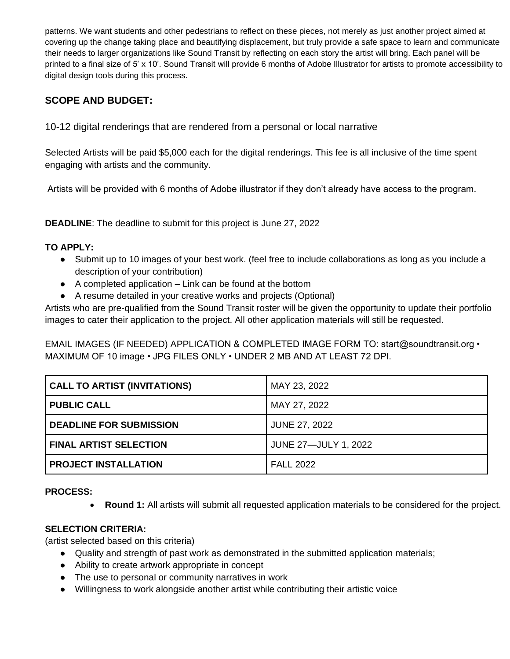patterns. We want students and other pedestrians to reflect on these pieces, not merely as just another project aimed at covering up the change taking place and beautifying displacement, but truly provide a safe space to learn and communicate their needs to larger organizations like Sound Transit by reflecting on each story the artist will bring. Each panel will be printed to a final size of 5' x 10'. Sound Transit will provide 6 months of Adobe Illustrator for artists to promote accessibility to digital design tools during this process.

## **SCOPE AND BUDGET:**

10-12 digital renderings that are rendered from a personal or local narrative

Selected Artists will be paid \$5,000 each for the digital renderings. This fee is all inclusive of the time spent engaging with artists and the community.

Artists will be provided with 6 months of Adobe illustrator if they don't already have access to the program.

**DEADLINE**: The deadline to submit for this project is June 27, 2022

### **TO APPLY:**

- Submit up to 10 images of your best work. (feel free to include collaborations as long as you include a description of your contribution)
- $\bullet$  A completed application  $-$  Link can be found at the bottom
- A resume detailed in your creative works and projects (Optional)

Artists who are pre-qualified from the Sound Transit roster will be given the opportunity to update their portfolio images to cater their application to the project. All other application materials will still be requested.

EMAIL IMAGES (IF NEEDED) APPLICATION & COMPLETED IMAGE FORM TO: start@soundtransit.org • MAXIMUM OF 10 image • JPG FILES ONLY • UNDER 2 MB AND AT LEAST 72 DPI.

| <b>CALL TO ARTIST (INVITATIONS)</b> | MAY 23, 2022                |
|-------------------------------------|-----------------------------|
| <b>PUBLIC CALL</b>                  | MAY 27, 2022                |
| <b>DEADLINE FOR SUBMISSION</b>      | <b>JUNE 27, 2022</b>        |
| <b>FINAL ARTIST SELECTION</b>       | <b>JUNE 27-JULY 1, 2022</b> |
| <b>PROJECT INSTALLATION</b>         | <b>FALL 2022</b>            |

### **PROCESS:**

• **Round 1:** All artists will submit all requested application materials to be considered for the project.

### **SELECTION CRITERIA:**

(artist selected based on this criteria)

- Quality and strength of past work as demonstrated in the submitted application materials;
- Ability to create artwork appropriate in concept
- The use to personal or community narratives in work
- Willingness to work alongside another artist while contributing their artistic voice